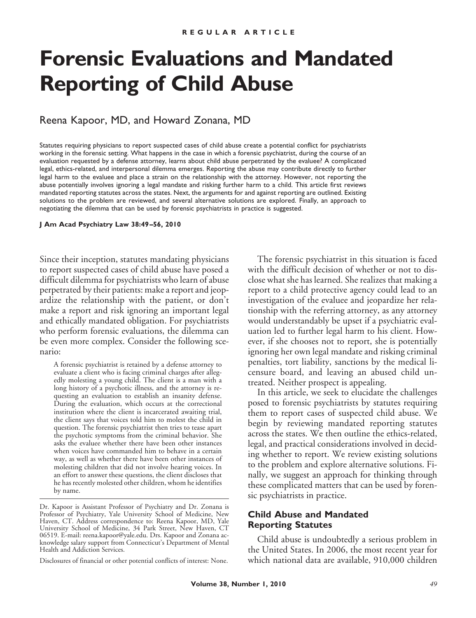# **Forensic Evaluations and Mandated Reporting of Child Abuse**

## Reena Kapoor, MD, and Howard Zonana, MD

Statutes requiring physicians to report suspected cases of child abuse create a potential conflict for psychiatrists working in the forensic setting. What happens in the case in which a forensic psychiatrist, during the course of an evaluation requested by a defense attorney, learns about child abuse perpetrated by the evaluee? A complicated legal, ethics-related, and interpersonal dilemma emerges. Reporting the abuse may contribute directly to further legal harm to the evaluee and place a strain on the relationship with the attorney. However, not reporting the abuse potentially involves ignoring a legal mandate and risking further harm to a child. This article first reviews mandated reporting statutes across the states. Next, the arguments for and against reporting are outlined. Existing solutions to the problem are reviewed, and several alternative solutions are explored. Finally, an approach to negotiating the dilemma that can be used by forensic psychiatrists in practice is suggested.

#### **J Am Acad Psychiatry Law 38:49 –56, 2010**

Since their inception, statutes mandating physicians to report suspected cases of child abuse have posed a difficult dilemma for psychiatrists who learn of abuse perpetrated by their patients: make a report and jeopardize the relationship with the patient, or don't make a report and risk ignoring an important legal and ethically mandated obligation. For psychiatrists who perform forensic evaluations, the dilemma can be even more complex. Consider the following scenario:

A forensic psychiatrist is retained by a defense attorney to evaluate a client who is facing criminal charges after allegedly molesting a young child. The client is a man with a long history of a psychotic illness, and the attorney is requesting an evaluation to establish an insanity defense. During the evaluation, which occurs at the correctional institution where the client is incarcerated awaiting trial, the client says that voices told him to molest the child in question. The forensic psychiatrist then tries to tease apart the psychotic symptoms from the criminal behavior. She asks the evaluee whether there have been other instances when voices have commanded him to behave in a certain way, as well as whether there have been other instances of molesting children that did not involve hearing voices. In an effort to answer these questions, the client discloses that he has recently molested other children, whom he identifies by name.

Disclosures of financial or other potential conflicts of interest: None.

The forensic psychiatrist in this situation is faced with the difficult decision of whether or not to disclose what she has learned. She realizes that making a report to a child protective agency could lead to an investigation of the evaluee and jeopardize her relationship with the referring attorney, as any attorney would understandably be upset if a psychiatric evaluation led to further legal harm to his client. However, if she chooses not to report, she is potentially ignoring her own legal mandate and risking criminal penalties, tort liability, sanctions by the medical licensure board, and leaving an abused child untreated. Neither prospect is appealing.

In this article, we seek to elucidate the challenges posed to forensic psychiatrists by statutes requiring them to report cases of suspected child abuse. We begin by reviewing mandated reporting statutes across the states. We then outline the ethics-related, legal, and practical considerations involved in deciding whether to report. We review existing solutions to the problem and explore alternative solutions. Finally, we suggest an approach for thinking through these complicated matters that can be used by forensic psychiatrists in practice.

#### **Child Abuse and Mandated Reporting Statutes**

Child abuse is undoubtedly a serious problem in the United States. In 2006, the most recent year for which national data are available, 910,000 children

Dr. Kapoor is Assistant Professor of Psychiatry and Dr. Zonana is Professor of Psychiatry, Yale University School of Medicine, New Haven, CT. Address correspondence to: Reena Kapoor, MD, Yale University School of Medicine, 34 Park Street, New Haven, CT 06519. E-mail: reena.kapoor@yale.edu. Drs. Kapoor and Zonana acknowledge salary support from Connecticut's Department of Mental Health and Addiction Services.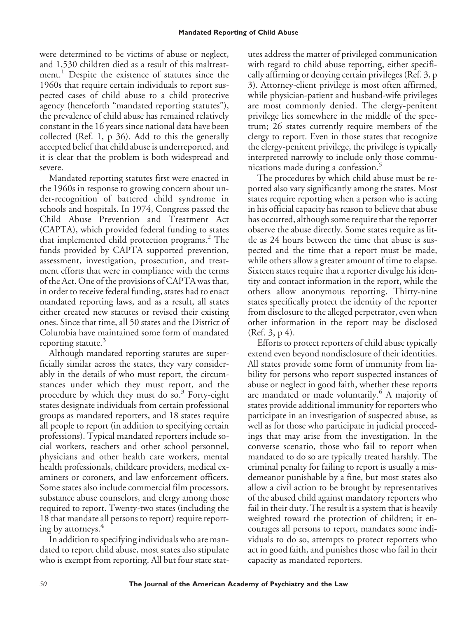were determined to be victims of abuse or neglect, and 1,530 children died as a result of this maltreatment.<sup>1</sup> Despite the existence of statutes since the 1960s that require certain individuals to report suspected cases of child abuse to a child protective agency (henceforth "mandated reporting statutes"), the prevalence of child abuse has remained relatively constant in the 16 years since national data have been collected (Ref. 1, p 36). Add to this the generally accepted belief that child abuse is underreported, and it is clear that the problem is both widespread and severe.

Mandated reporting statutes first were enacted in the 1960s in response to growing concern about under-recognition of battered child syndrome in schools and hospitals. In 1974, Congress passed the Child Abuse Prevention and Treatment Act (CAPTA), which provided federal funding to states that implemented child protection programs.<sup>2</sup> The funds provided by CAPTA supported prevention, assessment, investigation, prosecution, and treatment efforts that were in compliance with the terms of the Act. One of the provisions of CAPTA was that, in order to receive federal funding, states had to enact mandated reporting laws, and as a result, all states either created new statutes or revised their existing ones. Since that time, all 50 states and the District of Columbia have maintained some form of mandated reporting statute.<sup>3</sup>

Although mandated reporting statutes are superficially similar across the states, they vary considerably in the details of who must report, the circumstances under which they must report, and the procedure by which they must do so. $3$  Forty-eight states designate individuals from certain professional groups as mandated reporters, and 18 states require all people to report (in addition to specifying certain professions). Typical mandated reporters include social workers, teachers and other school personnel, physicians and other health care workers, mental health professionals, childcare providers, medical examiners or coroners, and law enforcement officers. Some states also include commercial film processors, substance abuse counselors, and clergy among those required to report. Twenty-two states (including the 18 that mandate all persons to report) require reporting by attorneys.<sup>4</sup>

In addition to specifying individuals who are mandated to report child abuse, most states also stipulate who is exempt from reporting. All but four state statutes address the matter of privileged communication with regard to child abuse reporting, either specifically affirming or denying certain privileges (Ref. 3, p 3). Attorney-client privilege is most often affirmed, while physician-patient and husband-wife privileges are most commonly denied. The clergy-penitent privilege lies somewhere in the middle of the spectrum; 26 states currently require members of the clergy to report. Even in those states that recognize the clergy-penitent privilege, the privilege is typically interpreted narrowly to include only those communications made during a confession.<sup>5</sup>

The procedures by which child abuse must be reported also vary significantly among the states. Most states require reporting when a person who is acting in his official capacity has reason to believe that abuse has occurred, although some require that the reporter observe the abuse directly. Some states require as little as 24 hours between the time that abuse is suspected and the time that a report must be made, while others allow a greater amount of time to elapse. Sixteen states require that a reporter divulge his identity and contact information in the report, while the others allow anonymous reporting. Thirty-nine states specifically protect the identity of the reporter from disclosure to the alleged perpetrator, even when other information in the report may be disclosed (Ref. 3, p 4).

Efforts to protect reporters of child abuse typically extend even beyond nondisclosure of their identities. All states provide some form of immunity from liability for persons who report suspected instances of abuse or neglect in good faith, whether these reports are mandated or made voluntarily.<sup>6</sup> A majority of states provide additional immunity for reporters who participate in an investigation of suspected abuse, as well as for those who participate in judicial proceedings that may arise from the investigation. In the converse scenario, those who fail to report when mandated to do so are typically treated harshly. The criminal penalty for failing to report is usually a misdemeanor punishable by a fine, but most states also allow a civil action to be brought by representatives of the abused child against mandatory reporters who fail in their duty. The result is a system that is heavily weighted toward the protection of children; it encourages all persons to report, mandates some individuals to do so, attempts to protect reporters who act in good faith, and punishes those who fail in their capacity as mandated reporters.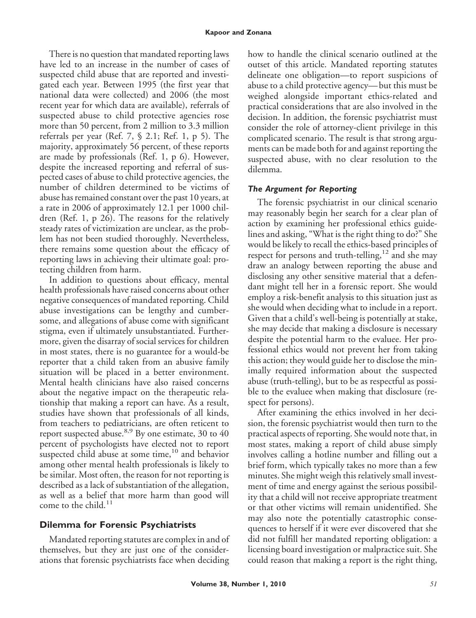There is no question that mandated reporting laws have led to an increase in the number of cases of suspected child abuse that are reported and investigated each year. Between 1995 (the first year that national data were collected) and 2006 (the most recent year for which data are available), referrals of suspected abuse to child protective agencies rose more than 50 percent, from 2 million to 3.3 million referrals per year (Ref. 7, § 2.1; Ref. 1, p 5). The majority, approximately 56 percent, of these reports are made by professionals (Ref. 1, p 6). However, despite the increased reporting and referral of suspected cases of abuse to child protective agencies, the number of children determined to be victims of abuse has remained constant over the past 10 years, at a rate in 2006 of approximately 12.1 per 1000 children (Ref. 1, p 26). The reasons for the relatively steady rates of victimization are unclear, as the problem has not been studied thoroughly. Nevertheless, there remains some question about the efficacy of reporting laws in achieving their ultimate goal: protecting children from harm.

In addition to questions about efficacy, mental health professionals have raised concerns about other negative consequences of mandated reporting. Child abuse investigations can be lengthy and cumbersome, and allegations of abuse come with significant stigma, even if ultimately unsubstantiated. Furthermore, given the disarray of social services for children in most states, there is no guarantee for a would-be reporter that a child taken from an abusive family situation will be placed in a better environment. Mental health clinicians have also raised concerns about the negative impact on the therapeutic relationship that making a report can have. As a result, studies have shown that professionals of all kinds, from teachers to pediatricians, are often reticent to report suspected abuse.<sup>8,9</sup> By one estimate, 30 to 40 percent of psychologists have elected not to report suspected child abuse at some time, $10$  and behavior among other mental health professionals is likely to be similar. Most often, the reason for not reporting is described as a lack of substantiation of the allegation, as well as a belief that more harm than good will come to the child. $^{11}$ 

#### **Dilemma for Forensic Psychiatrists**

Mandated reporting statutes are complex in and of themselves, but they are just one of the considerations that forensic psychiatrists face when deciding

how to handle the clinical scenario outlined at the outset of this article. Mandated reporting statutes delineate one obligation—to report suspicions of abuse to a child protective agency— but this must be weighed alongside important ethics-related and practical considerations that are also involved in the decision. In addition, the forensic psychiatrist must consider the role of attorney-client privilege in this complicated scenario. The result is that strong arguments can be made both for and against reporting the suspected abuse, with no clear resolution to the dilemma.

#### *The Argument for Reporting*

The forensic psychiatrist in our clinical scenario may reasonably begin her search for a clear plan of action by examining her professional ethics guidelines and asking, "What is the right thing to do?" She would be likely to recall the ethics-based principles of respect for persons and truth-telling,<sup>12</sup> and she may draw an analogy between reporting the abuse and disclosing any other sensitive material that a defendant might tell her in a forensic report. She would employ a risk-benefit analysis to this situation just as she would when deciding what to include in a report. Given that a child's well-being is potentially at stake, she may decide that making a disclosure is necessary despite the potential harm to the evaluee. Her professional ethics would not prevent her from taking this action; they would guide her to disclose the minimally required information about the suspected abuse (truth-telling), but to be as respectful as possible to the evaluee when making that disclosure (respect for persons).

After examining the ethics involved in her decision, the forensic psychiatrist would then turn to the practical aspects of reporting. She would note that, in most states, making a report of child abuse simply involves calling a hotline number and filling out a brief form, which typically takes no more than a few minutes. She might weigh this relatively small investment of time and energy against the serious possibility that a child will not receive appropriate treatment or that other victims will remain unidentified. She may also note the potentially catastrophic consequences to herself if it were ever discovered that she did not fulfill her mandated reporting obligation: a licensing board investigation or malpractice suit. She could reason that making a report is the right thing,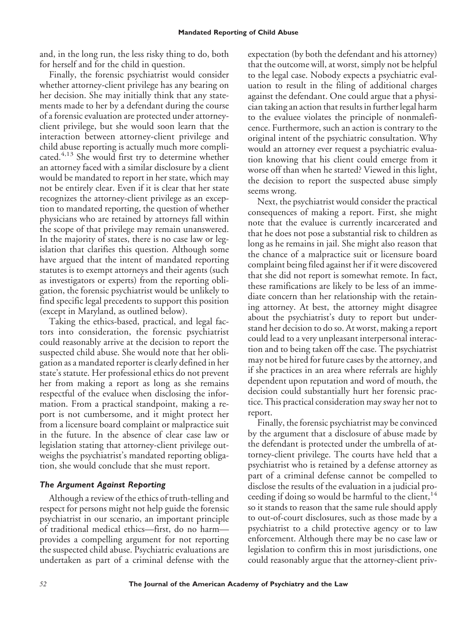and, in the long run, the less risky thing to do, both for herself and for the child in question.

Finally, the forensic psychiatrist would consider whether attorney-client privilege has any bearing on her decision. She may initially think that any statements made to her by a defendant during the course of a forensic evaluation are protected under attorneyclient privilege, but she would soon learn that the interaction between attorney-client privilege and child abuse reporting is actually much more complicated.<sup>4,13</sup> She would first try to determine whether an attorney faced with a similar disclosure by a client would be mandated to report in her state, which may not be entirely clear. Even if it is clear that her state recognizes the attorney-client privilege as an exception to mandated reporting, the question of whether physicians who are retained by attorneys fall within the scope of that privilege may remain unanswered. In the majority of states, there is no case law or legislation that clarifies this question. Although some have argued that the intent of mandated reporting statutes is to exempt attorneys and their agents (such as investigators or experts) from the reporting obligation, the forensic psychiatrist would be unlikely to find specific legal precedents to support this position (except in Maryland, as outlined below).

Taking the ethics-based, practical, and legal factors into consideration, the forensic psychiatrist could reasonably arrive at the decision to report the suspected child abuse. She would note that her obligation as a mandated reporter is clearly defined in her state's statute. Her professional ethics do not prevent her from making a report as long as she remains respectful of the evaluee when disclosing the information. From a practical standpoint, making a report is not cumbersome, and it might protect her from a licensure board complaint or malpractice suit in the future. In the absence of clear case law or legislation stating that attorney-client privilege outweighs the psychiatrist's mandated reporting obligation, she would conclude that she must report.

#### *The Argument Against Reporting*

Although a review of the ethics of truth-telling and respect for persons might not help guide the forensic psychiatrist in our scenario, an important principle of traditional medical ethics—first, do no harm provides a compelling argument for not reporting the suspected child abuse. Psychiatric evaluations are undertaken as part of a criminal defense with the expectation (by both the defendant and his attorney) that the outcome will, at worst, simply not be helpful to the legal case. Nobody expects a psychiatric evaluation to result in the filing of additional charges against the defendant. One could argue that a physician taking an action that results in further legal harm to the evaluee violates the principle of nonmaleficence. Furthermore, such an action is contrary to the original intent of the psychiatric consultation. Why would an attorney ever request a psychiatric evaluation knowing that his client could emerge from it worse off than when he started? Viewed in this light, the decision to report the suspected abuse simply seems wrong.

Next, the psychiatrist would consider the practical consequences of making a report. First, she might note that the evaluee is currently incarcerated and that he does not pose a substantial risk to children as long as he remains in jail. She might also reason that the chance of a malpractice suit or licensure board complaint being filed against her if it were discovered that she did not report is somewhat remote. In fact, these ramifications are likely to be less of an immediate concern than her relationship with the retaining attorney. At best, the attorney might disagree about the psychiatrist's duty to report but understand her decision to do so. At worst, making a report could lead to a very unpleasant interpersonal interaction and to being taken off the case. The psychiatrist may not be hired for future cases by the attorney, and if she practices in an area where referrals are highly dependent upon reputation and word of mouth, the decision could substantially hurt her forensic practice. This practical consideration may sway her not to report.

Finally, the forensic psychiatrist may be convinced by the argument that a disclosure of abuse made by the defendant is protected under the umbrella of attorney-client privilege. The courts have held that a psychiatrist who is retained by a defense attorney as part of a criminal defense cannot be compelled to disclose the results of the evaluation in a judicial proceeding if doing so would be harmful to the client,<sup>14</sup> so it stands to reason that the same rule should apply to out-of-court disclosures, such as those made by a psychiatrist to a child protective agency or to law enforcement. Although there may be no case law or legislation to confirm this in most jurisdictions, one could reasonably argue that the attorney-client priv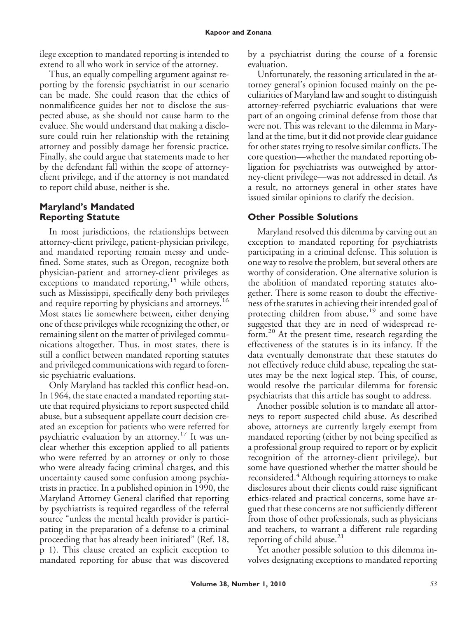ilege exception to mandated reporting is intended to extend to all who work in service of the attorney.

Thus, an equally compelling argument against reporting by the forensic psychiatrist in our scenario can be made. She could reason that the ethics of nonmalificence guides her not to disclose the suspected abuse, as she should not cause harm to the evaluee. She would understand that making a disclosure could ruin her relationship with the retaining attorney and possibly damage her forensic practice. Finally, she could argue that statements made to her by the defendant fall within the scope of attorneyclient privilege, and if the attorney is not mandated to report child abuse, neither is she.

#### **Maryland's Mandated Reporting Statute**

In most jurisdictions, the relationships between attorney-client privilege, patient-physician privilege, and mandated reporting remain messy and undefined. Some states, such as Oregon, recognize both physician-patient and attorney-client privileges as exceptions to mandated reporting,  $15$  while others, such as Mississippi, specifically deny both privileges and require reporting by physicians and attorneys.<sup>16</sup> Most states lie somewhere between, either denying one of these privileges while recognizing the other, or remaining silent on the matter of privileged communications altogether. Thus, in most states, there is still a conflict between mandated reporting statutes and privileged communications with regard to forensic psychiatric evaluations.

Only Maryland has tackled this conflict head-on. In 1964, the state enacted a mandated reporting statute that required physicians to report suspected child abuse, but a subsequent appellate court decision created an exception for patients who were referred for psychiatric evaluation by an attorney.<sup>17</sup> It was unclear whether this exception applied to all patients who were referred by an attorney or only to those who were already facing criminal charges, and this uncertainty caused some confusion among psychiatrists in practice. In a published opinion in 1990, the Maryland Attorney General clarified that reporting by psychiatrists is required regardless of the referral source "unless the mental health provider is participating in the preparation of a defense to a criminal proceeding that has already been initiated" (Ref. 18, p 1). This clause created an explicit exception to mandated reporting for abuse that was discovered

by a psychiatrist during the course of a forensic evaluation.

Unfortunately, the reasoning articulated in the attorney general's opinion focused mainly on the peculiarities of Maryland law and sought to distinguish attorney-referred psychiatric evaluations that were part of an ongoing criminal defense from those that were not. This was relevant to the dilemma in Maryland at the time, but it did not provide clear guidance for other states trying to resolve similar conflicts. The core question—whether the mandated reporting obligation for psychiatrists was outweighed by attorney-client privilege—was not addressed in detail. As a result, no attorneys general in other states have issued similar opinions to clarify the decision.

## **Other Possible Solutions**

Maryland resolved this dilemma by carving out an exception to mandated reporting for psychiatrists participating in a criminal defense. This solution is one way to resolve the problem, but several others are worthy of consideration. One alternative solution is the abolition of mandated reporting statutes altogether. There is some reason to doubt the effectiveness of the statutes in achieving their intended goal of protecting children from abuse,<sup>19</sup> and some have suggested that they are in need of widespread reform.<sup>20</sup> At the present time, research regarding the effectiveness of the statutes is in its infancy. If the data eventually demonstrate that these statutes do not effectively reduce child abuse, repealing the statutes may be the next logical step. This, of course, would resolve the particular dilemma for forensic psychiatrists that this article has sought to address.

Another possible solution is to mandate all attorneys to report suspected child abuse. As described above, attorneys are currently largely exempt from mandated reporting (either by not being specified as a professional group required to report or by explicit recognition of the attorney-client privilege), but some have questioned whether the matter should be reconsidered.<sup>4</sup> Although requiring attorneys to make disclosures about their clients could raise significant ethics-related and practical concerns, some have argued that these concerns are not sufficiently different from those of other professionals, such as physicians and teachers, to warrant a different rule regarding reporting of child abuse.<sup>21</sup>

Yet another possible solution to this dilemma involves designating exceptions to mandated reporting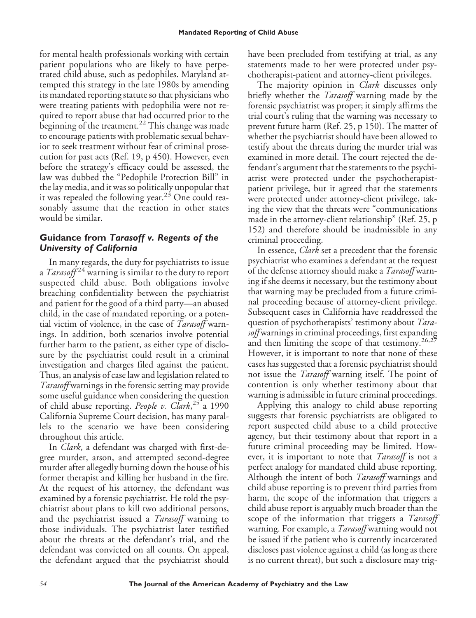for mental health professionals working with certain patient populations who are likely to have perpetrated child abuse, such as pedophiles. Maryland attempted this strategy in the late 1980s by amending its mandated reporting statute so that physicians who were treating patients with pedophilia were not required to report abuse that had occurred prior to the beginning of the treatment.<sup>22</sup> This change was made to encourage patients with problematic sexual behavior to seek treatment without fear of criminal prosecution for past acts (Ref. 19, p 450). However, even before the strategy's efficacy could be assessed, the law was dubbed the "Pedophile Protection Bill" in the lay media, and it was so politically unpopular that it was repealed the following year.<sup>23</sup> One could reasonably assume that the reaction in other states would be similar.

#### **Guidance from** *Tarasoff v. Regents of the University of California*

In many regards, the duty for psychiatrists to issue a *Tarasoff*<sup>24</sup> warning is similar to the duty to report suspected child abuse. Both obligations involve breaching confidentiality between the psychiatrist and patient for the good of a third party—an abused child, in the case of mandated reporting, or a potential victim of violence, in the case of *Tarasoff* warnings. In addition, both scenarios involve potential further harm to the patient, as either type of disclosure by the psychiatrist could result in a criminal investigation and charges filed against the patient. Thus, an analysis of case law and legislation related to *Tarasoff* warnings in the forensic setting may provide some useful guidance when considering the question of child abuse reporting. *People v. Clark*,<sup>25</sup><sup>2</sup> 1990 California Supreme Court decision, has many parallels to the scenario we have been considering throughout this article.

In *Clark*, a defendant was charged with first-degree murder, arson, and attempted second-degree murder after allegedly burning down the house of his former therapist and killing her husband in the fire. At the request of his attorney, the defendant was examined by a forensic psychiatrist. He told the psychiatrist about plans to kill two additional persons, and the psychiatrist issued a *Tarasoff* warning to those individuals. The psychiatrist later testified about the threats at the defendant's trial, and the defendant was convicted on all counts. On appeal, the defendant argued that the psychiatrist should have been precluded from testifying at trial, as any statements made to her were protected under psychotherapist-patient and attorney-client privileges.

The majority opinion in *Clark* discusses only briefly whether the *Tarasoff* warning made by the forensic psychiatrist was proper; it simply affirms the trial court's ruling that the warning was necessary to prevent future harm (Ref. 25, p 150). The matter of whether the psychiatrist should have been allowed to testify about the threats during the murder trial was examined in more detail. The court rejected the defendant's argument that the statements to the psychiatrist were protected under the psychotherapistpatient privilege, but it agreed that the statements were protected under attorney-client privilege, taking the view that the threats were "communications made in the attorney-client relationship" (Ref. 25, p 152) and therefore should be inadmissible in any criminal proceeding.

In essence, *Clark* set a precedent that the forensic psychiatrist who examines a defendant at the request of the defense attorney should make a *Tarasoff* warning if she deems it necessary, but the testimony about that warning may be precluded from a future criminal proceeding because of attorney-client privilege. Subsequent cases in California have readdressed the question of psychotherapists' testimony about *Tarasoff* warnings in criminal proceedings, first expanding and then limiting the scope of that testimony.<sup>26,27</sup> However, it is important to note that none of these cases has suggested that a forensic psychiatrist should not issue the *Tarasoff* warning itself. The point of contention is only whether testimony about that warning is admissible in future criminal proceedings.

Applying this analogy to child abuse reporting suggests that forensic psychiatrists are obligated to report suspected child abuse to a child protective agency, but their testimony about that report in a future criminal proceeding may be limited. However, it is important to note that *Tarasoff* is not a perfect analogy for mandated child abuse reporting. Although the intent of both *Tarasoff* warnings and child abuse reporting is to prevent third parties from harm, the scope of the information that triggers a child abuse report is arguably much broader than the scope of the information that triggers a *Tarasoff* warning. For example, a *Tarasoff* warning would not be issued if the patient who is currently incarcerated discloses past violence against a child (as long as there is no current threat), but such a disclosure may trig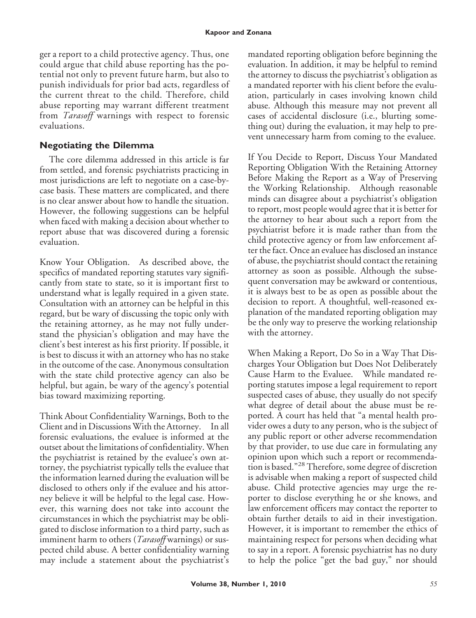ger a report to a child protective agency. Thus, one could argue that child abuse reporting has the potential not only to prevent future harm, but also to punish individuals for prior bad acts, regardless of the current threat to the child. Therefore, child abuse reporting may warrant different treatment from *Tarasoff* warnings with respect to forensic evaluations.

### **Negotiating the Dilemma**

The core dilemma addressed in this article is far from settled, and forensic psychiatrists practicing in most jurisdictions are left to negotiate on a case-bycase basis. These matters are complicated, and there is no clear answer about how to handle the situation. However, the following suggestions can be helpful when faced with making a decision about whether to report abuse that was discovered during a forensic evaluation.

Know Your Obligation. As described above, the specifics of mandated reporting statutes vary significantly from state to state, so it is important first to understand what is legally required in a given state. Consultation with an attorney can be helpful in this regard, but be wary of discussing the topic only with the retaining attorney, as he may not fully understand the physician's obligation and may have the client's best interest as his first priority. If possible, it is best to discuss it with an attorney who has no stake in the outcome of the case. Anonymous consultation with the state child protective agency can also be helpful, but again, be wary of the agency's potential bias toward maximizing reporting.

Think About Confidentiality Warnings, Both to the Client and in Discussions With the Attorney. In all forensic evaluations, the evaluee is informed at the outset about the limitations of confidentiality. When the psychiatrist is retained by the evaluee's own attorney, the psychiatrist typically tells the evaluee that the information learned during the evaluation will be disclosed to others only if the evaluee and his attorney believe it will be helpful to the legal case. However, this warning does not take into account the circumstances in which the psychiatrist may be obligated to disclose information to a third party, such as imminent harm to others (*Tarasoff* warnings) or suspected child abuse. A better confidentiality warning may include a statement about the psychiatrist's

mandated reporting obligation before beginning the evaluation. In addition, it may be helpful to remind the attorney to discuss the psychiatrist's obligation as a mandated reporter with his client before the evaluation, particularly in cases involving known child abuse. Although this measure may not prevent all cases of accidental disclosure (i.e., blurting something out) during the evaluation, it may help to prevent unnecessary harm from coming to the evaluee.

If You Decide to Report, Discuss Your Mandated Reporting Obligation With the Retaining Attorney Before Making the Report as a Way of Preserving the Working Relationship. Although reasonable minds can disagree about a psychiatrist's obligation to report, most people would agree that it is better for the attorney to hear about such a report from the psychiatrist before it is made rather than from the child protective agency or from law enforcement after the fact. Once an evaluee has disclosed an instance of abuse, the psychiatrist should contact the retaining attorney as soon as possible. Although the subsequent conversation may be awkward or contentious, it is always best to be as open as possible about the decision to report. A thoughtful, well-reasoned explanation of the mandated reporting obligation may be the only way to preserve the working relationship with the attorney.

When Making a Report, Do So in a Way That Discharges Your Obligation but Does Not Deliberately Cause Harm to the Evaluee. While mandated reporting statutes impose a legal requirement to report suspected cases of abuse, they usually do not specify what degree of detail about the abuse must be reported. A court has held that "a mental health provider owes a duty to any person, who is the subject of any public report or other adverse recommendation by that provider, to use due care in formulating any opinion upon which such a report or recommendation is based."<sup>28</sup> Therefore, some degree of discretion is advisable when making a report of suspected child abuse. Child protective agencies may urge the reporter to disclose everything he or she knows, and law enforcement officers may contact the reporter to obtain further details to aid in their investigation. However, it is important to remember the ethics of maintaining respect for persons when deciding what to say in a report. A forensic psychiatrist has no duty to help the police "get the bad guy," nor should